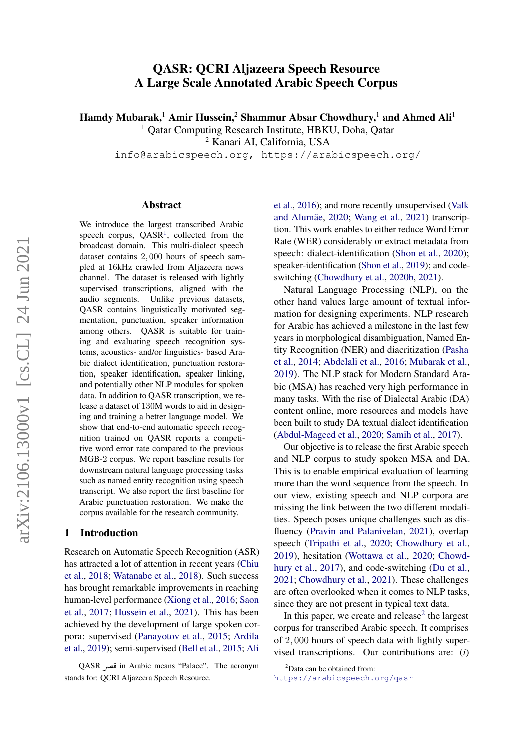# QASR: QCRI Aljazeera Speech Resource A Large Scale Annotated Arabic Speech Corpus

Hamdy Mubarak,<sup>1</sup> Amir Hussein,<sup>2</sup> Shammur Absar Chowdhury,<sup>1</sup> and Ahmed Ali<sup>1</sup>

<sup>1</sup> Qatar Computing Research Institute, HBKU, Doha, Qatar

<sup>2</sup> Kanari AI, California, USA

info@arabicspeech.org, https://arabicspeech.org/

### Abstract

We introduce the largest transcribed Arabic speech corpus,  $QASR<sup>1</sup>$  $QASR<sup>1</sup>$  $QASR<sup>1</sup>$ , collected from the broadcast domain. This multi-dialect speech dataset contains 2, 000 hours of speech sampled at 16kHz crawled from Aljazeera news channel. The dataset is released with lightly supervised transcriptions, aligned with the audio segments. Unlike previous datasets, QASR contains linguistically motivated segmentation, punctuation, speaker information among others. QASR is suitable for training and evaluating speech recognition systems, acoustics- and/or linguistics- based Arabic dialect identification, punctuation restoration, speaker identification, speaker linking, and potentially other NLP modules for spoken data. In addition to QASR transcription, we release a dataset of 130M words to aid in designing and training a better language model. We show that end-to-end automatic speech recognition trained on QASR reports a competitive word error rate compared to the previous MGB-2 corpus. We report baseline results for downstream natural language processing tasks such as named entity recognition using speech transcript. We also report the first baseline for Arabic punctuation restoration. We make the corpus available for the research community.

### 1 Introduction

Research on Automatic Speech Recognition (ASR) has attracted a lot of attention in recent years [\(Chiu](#page-9-0) [et al.,](#page-9-0) [2018;](#page-9-0) [Watanabe et al.,](#page-11-0) [2018\)](#page-11-0). Such success has brought remarkable improvements in reaching human-level performance [\(Xiong et al.,](#page-11-1) [2016;](#page-11-1) [Saon](#page-11-2) [et al.,](#page-11-2) [2017;](#page-11-2) [Hussein et al.,](#page-10-0) [2021\)](#page-10-0). This has been achieved by the development of large spoken corpora: supervised [\(Panayotov et al.,](#page-10-1) [2015;](#page-10-1) [Ardila](#page-9-1) [et al.,](#page-9-1) [2019\)](#page-9-1); semi-supervised [\(Bell et al.,](#page-9-2) [2015;](#page-9-2) [Ali](#page-9-3)  $\overline{a}$ 

[et al.,](#page-9-3) [2016\)](#page-9-3); and more recently unsupervised [\(Valk](#page-11-3) and Alumäe, [2020;](#page-11-3) [Wang et al.,](#page-11-4) [2021\)](#page-11-4) transcription. This work enables to either reduce Word Error Rate (WER) considerably or extract metadata from speech: dialect-identification [\(Shon et al.,](#page-11-5) [2020\)](#page-11-5); speaker-identification [\(Shon et al.,](#page-11-6) [2019\)](#page-11-6); and codeswitching [\(Chowdhury et al.,](#page-10-2) [2020b,](#page-10-2) [2021\)](#page-10-3).

Natural Language Processing (NLP), on the other hand values large amount of textual information for designing experiments. NLP research for Arabic has achieved a milestone in the last few years in morphological disambiguation, Named Entity Recognition (NER) and diacritization [\(Pasha](#page-10-4) [et al.,](#page-10-4) [2014;](#page-10-4) [Abdelali et al.,](#page-9-4) [2016;](#page-9-4) [Mubarak et al.,](#page-10-5) [2019\)](#page-10-5). The NLP stack for Modern Standard Arabic (MSA) has reached very high performance in many tasks. With the rise of Dialectal Arabic (DA) content online, more resources and models have been built to study DA textual dialect identification [\(Abdul-Mageed et al.,](#page-9-5) [2020;](#page-9-5) [Samih et al.,](#page-11-7) [2017\)](#page-11-7).

Our objective is to release the first Arabic speech and NLP corpus to study spoken MSA and DA. This is to enable empirical evaluation of learning more than the word sequence from the speech. In our view, existing speech and NLP corpora are missing the link between the two different modalities. Speech poses unique challenges such as disfluency [\(Pravin and Palanivelan,](#page-11-8) [2021\)](#page-11-8), overlap speech [\(Tripathi et al.,](#page-11-9) [2020;](#page-11-9) [Chowdhury et al.,](#page-10-6) [2019\)](#page-10-6), hesitation [\(Wottawa et al.,](#page-11-10) [2020;](#page-11-10) [Chowd](#page-10-7)[hury et al.,](#page-10-7) [2017\)](#page-10-7), and code-switching [\(Du et al.,](#page-10-8) [2021;](#page-10-8) [Chowdhury et al.,](#page-10-3) [2021\)](#page-10-3). These challenges are often overlooked when it comes to NLP tasks, since they are not present in typical text data.

In this paper, we create and release $2$  the largest corpus for transcribed Arabic speech. It comprises of 2, 000 hours of speech data with lightly supervised transcriptions. Our contributions are: (*i*)

<span id="page-0-0"></span> $\frac{1}{1QASR}$  [in Arabic means "Palace". The acronym](#page-9-3) [stands for: QCRI Aljazeera Speech Resource.](#page-9-3)

<span id="page-0-1"></span> $2$ Data can be obtained from:

<https://arabicspeech.org/qasr>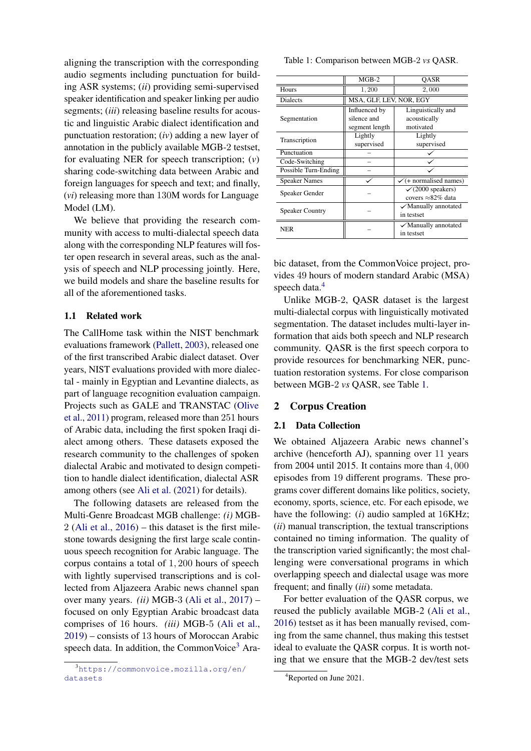aligning the transcription with the corresponding audio segments including punctuation for building ASR systems; (*ii*) providing semi-supervised speaker identification and speaker linking per audio segments; (*iii*) releasing baseline results for acoustic and linguistic Arabic dialect identification and punctuation restoration; (*iv*) adding a new layer of annotation in the publicly available MGB-2 testset, for evaluating NER for speech transcription; (*v*) sharing code-switching data between Arabic and foreign languages for speech and text; and finally, (*vi*) releasing more than 130M words for Language Model (LM).

We believe that providing the research community with access to multi-dialectal speech data along with the corresponding NLP features will foster open research in several areas, such as the analysis of speech and NLP processing jointly. Here, we build models and share the baseline results for all of the aforementioned tasks.

## 1.1 Related work

The CallHome task within the NIST benchmark evaluations framework [\(Pallett,](#page-10-9) [2003\)](#page-10-9), released one of the first transcribed Arabic dialect dataset. Over years, NIST evaluations provided with more dialectal - mainly in Egyptian and Levantine dialects, as part of language recognition evaluation campaign. Projects such as GALE and TRANSTAC [\(Olive](#page-10-10) [et al.,](#page-10-10) [2011\)](#page-10-10) program, released more than 251 hours of Arabic data, including the first spoken Iraqi dialect among others. These datasets exposed the research community to the challenges of spoken dialectal Arabic and motivated to design competition to handle dialect identification, dialectal ASR among others (see [Ali et al.](#page-9-6) [\(2021\)](#page-9-6) for details).

The following datasets are released from the Multi-Genre Broadcast MGB challenge: *(i)* MGB- $2$  [\(Ali et al.,](#page-9-3)  $2016$ ) – this dataset is the first milestone towards designing the first large scale continuous speech recognition for Arabic language. The corpus contains a total of 1, 200 hours of speech with lightly supervised transcriptions and is collected from Aljazeera Arabic news channel span over many years. *(ii)* MGB-3 [\(Ali et al.,](#page-9-7) [2017\)](#page-9-7) – focused on only Egyptian Arabic broadcast data comprises of 16 hours. *(iii)* MGB-5 [\(Ali et al.,](#page-9-8) [2019\)](#page-9-8) – consists of 13 hours of Moroccan Arabic speech data. In addition, the CommonVoice<sup>[3](#page-1-0)</sup> Ara<span id="page-1-2"></span>Table 1: Comparison between MGB-2 *vs* QASR.

|                        | $MGB-2$                 | OASR                              |
|------------------------|-------------------------|-----------------------------------|
| Hours                  | 1,200                   | 2,000                             |
| <b>Dialects</b>        | MSA, GLF, LEV, NOR, EGY |                                   |
|                        | Influenced by           | Linguistically and                |
| Segmentation           | silence and             | acoustically                      |
|                        | segment length          | motivated                         |
| Transcription          | Lightly                 | Lightly                           |
|                        | supervised              | supervised                        |
| Punctuation            |                         |                                   |
| Code-Switching         |                         |                                   |
| Possible Turn-Ending   |                         |                                   |
| <b>Speaker Names</b>   |                         | $\checkmark$ (+ normalised names) |
| Speaker Gender         |                         | $\checkmark$ (2000 speakers)      |
|                        |                         | covers $\approx 82\%$ data        |
| <b>Speaker Country</b> |                         | $\checkmark$ Manually annotated   |
|                        |                         | in testset                        |
| NER                    |                         | $\checkmark$ Manually annotated   |
|                        |                         | in testset                        |
|                        |                         |                                   |

bic dataset, from the CommonVoice project, provides 49 hours of modern standard Arabic (MSA) speech data.<sup>[4](#page-1-1)</sup>

Unlike MGB-2, QASR dataset is the largest multi-dialectal corpus with linguistically motivated segmentation. The dataset includes multi-layer information that aids both speech and NLP research community. QASR is the first speech corpora to provide resources for benchmarking NER, punctuation restoration systems. For close comparison between MGB-2 *vs* QASR, see Table [1.](#page-1-2)

## 2 Corpus Creation

### 2.1 Data Collection

We obtained Aljazeera Arabic news channel's archive (henceforth AJ), spanning over 11 years from 2004 until 2015. It contains more than 4, 000 episodes from 19 different programs. These programs cover different domains like politics, society, economy, sports, science, etc. For each episode, we have the following: (*i*) audio sampled at 16KHz; (*ii*) manual transcription, the textual transcriptions contained no timing information. The quality of the transcription varied significantly; the most challenging were conversational programs in which overlapping speech and dialectal usage was more frequent; and finally (*iii*) some metadata.

For better evaluation of the QASR corpus, we reused the publicly available MGB-2 [\(Ali et al.,](#page-9-3) [2016\)](#page-9-3) testset as it has been manually revised, coming from the same channel, thus making this testset ideal to evaluate the QASR corpus. It is worth noting that we ensure that the MGB-2 dev/test sets

<span id="page-1-0"></span><sup>3</sup>[https://commonvoice.mozilla.org/en/](https://commonvoice.mozilla.org/en/datasets) [datasets](https://commonvoice.mozilla.org/en/datasets)

<span id="page-1-1"></span><sup>&</sup>lt;sup>4</sup>Reported on June 2021.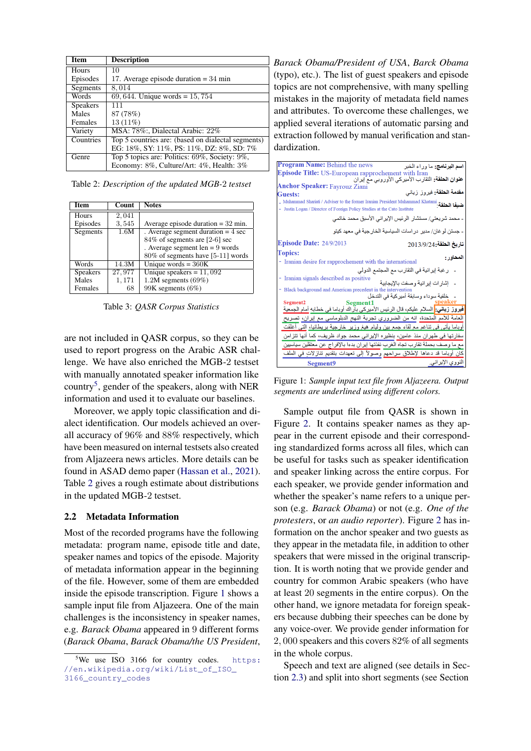<span id="page-2-1"></span>

| <b>Item</b>     | <b>Description</b>                                 |
|-----------------|----------------------------------------------------|
| Hours           | 10                                                 |
| Episodes        | 17. Average episode duration $=$ 34 min            |
| Segments        | 8,014                                              |
| Words           | 69, 644. Unique words = $15,754$                   |
| <b>Speakers</b> | 111                                                |
| Males           | 87 (78%)                                           |
| Females         | $13(11\%)$                                         |
| Variety         | MSA: 78%: Dialectal Arabic: 22%                    |
| Countries       | Top 5 countries are: (based on dialectal segments) |
|                 | EG: 18%, SY: 11%, PS: 11%, DZ: 8%, SD: 7%          |
| Genre           | Top 5 topics are: Politics: 69%, Society: 9%,      |
|                 | Economy: 8%, Culture/Art: 4%, Health: 3%           |

Table 2: *Description of the updated MGB-*2 *testset*

<span id="page-2-3"></span>

| Item            | Count  | <b>Notes</b>                         |
|-----------------|--------|--------------------------------------|
| Hours           | 2,041  |                                      |
| Episodes        | 3,545  | Average episode duration $= 32$ min. |
| Segments        | 1.6M   | . Average segment duration $=$ 4 sec |
|                 |        | 84% of segments are [2-6] sec        |
|                 |        | . Average segment $len = 9$ words    |
|                 |        | 80% of segments have [5-11] words    |
| Words           | 14.3M  | Unique words = $360K$                |
| <b>Speakers</b> | 27,977 | Unique speakers = $11,092$           |
| Males           | 1,171  | $1.2M$ segments $(69\%)$             |
| Females         | 68     | 99K segments (6%)                    |

Table 3: *QASR Corpus Statistics*

are not included in QASR corpus, so they can be used to report progress on the Arabic ASR challenge. We have also enriched the MGB-2 testset with manually annotated speaker information like country<sup>[5](#page-2-0)</sup>, gender of the speakers, along with NER information and used it to evaluate our baselines.

Moreover, we apply topic classification and dialect identification. Our models achieved an overall accuracy of 96% and 88% respectively, which have been measured on internal testsets also created from Aljazeera news articles. More details can be found in ASAD demo paper [\(Hassan et al.,](#page-10-11) [2021\)](#page-10-11). Table [2](#page-2-1) gives a rough estimate about distributions in the updated MGB-2 testset.

## 2.2 Metadata Information

Most of the recorded programs have the following metadata: program name, episode title and date, speaker names and topics of the episode. Majority of metadata information appear in the beginning of the file. However, some of them are embedded inside the episode transcription. Figure [1](#page-2-2) shows a sample input file from Aljazeera. One of the main challenges is the inconsistency in speaker names, e.g. *Barack Obama* appeared in 9 different forms (*Barack Obama*, *Barack Obama/the US President*, *Barack Obama/President of USA*, *Barck Obama* (typo), etc.). The list of guest speakers and episode topics are not comprehensive, with many spelling mistakes in the majority of metadata field names and attributes. To overcome these challenges, we applied several iterations of automatic parsing and extraction followed by manual verification and standardization.

<span id="page-2-2"></span>

| <b>Program Name: Behind the news</b><br><b>اسم البرنامج:</b> ما وراء الخبر<br>Episode Title: US-European rapprochement with Iran<br><b>عنوان الحلقة:</b> التقارب الأميركي الأوروبي مع إيران<br><b>Anchor Speaker: Fayrouz Ziani</b><br>مقدمة الحلقة: فيروز زياني<br>Guests:<br>- Justin Logan / Director of Foreign Policy Studies at the Cato Institute<br>ـ محمد شريعتي/ مستشار الرئيس الإيراني الأسبق محمد خاتمي<br>- جستن لو غان/ مدير در اسات السياسية الخار جية في معهد كيتو |
|------------------------------------------------------------------------------------------------------------------------------------------------------------------------------------------------------------------------------------------------------------------------------------------------------------------------------------------------------------------------------------------------------------------------------------------------------------------------------------|
|                                                                                                                                                                                                                                                                                                                                                                                                                                                                                    |
|                                                                                                                                                                                                                                                                                                                                                                                                                                                                                    |
|                                                                                                                                                                                                                                                                                                                                                                                                                                                                                    |
|                                                                                                                                                                                                                                                                                                                                                                                                                                                                                    |
|                                                                                                                                                                                                                                                                                                                                                                                                                                                                                    |
|                                                                                                                                                                                                                                                                                                                                                                                                                                                                                    |
|                                                                                                                                                                                                                                                                                                                                                                                                                                                                                    |
|                                                                                                                                                                                                                                                                                                                                                                                                                                                                                    |
|                                                                                                                                                                                                                                                                                                                                                                                                                                                                                    |
| <b>Episode Date: 24/9/2013</b><br>تاريخ الطقة:2013/9/24                                                                                                                                                                                                                                                                                                                                                                                                                            |
| <b>Topics:</b>                                                                                                                                                                                                                                                                                                                                                                                                                                                                     |
| المحاور :<br>- Iranian desire for rapprochement with the international                                                                                                                                                                                                                                                                                                                                                                                                             |
| ر غبة إير انية في التقار ب مع المجتمع الدولي                                                                                                                                                                                                                                                                                                                                                                                                                                       |
| - Iranian signals described as positive                                                                                                                                                                                                                                                                                                                                                                                                                                            |
| إشار ات إير انية وصفت بالإيجابية<br>- Black background and American precedent in the intervention                                                                                                                                                                                                                                                                                                                                                                                  |
| خلفية سوداء وسابقة أميركية في التدخل                                                                                                                                                                                                                                                                                                                                                                                                                                               |
| Segment <sub>2</sub><br>Seømei                                                                                                                                                                                                                                                                                                                                                                                                                                                     |
| <b>فيروز زياني:</b> السلام عليكم، قال الرئيس الأميركي بآراك أوباما في خطابه أمام الجمعية                                                                                                                                                                                                                                                                                                                                                                                           |
| العامة للأمم المتحدة، انه من الضروري تجربة النهج الدبلوماسي مع إيران، تصريح                                                                                                                                                                                                                                                                                                                                                                                                        |
| أوباما يأتي في تناغم مع لقاء جمع بين وليام هيغ وزير خارجية بريطانيا، التي أغلقت                                                                                                                                                                                                                                                                                                                                                                                                    |
| سفارتها في طهران منذ عامين، بنظيره الإيراني محمد جواد ظريف، كما أنها تتزامن                                                                                                                                                                                                                                                                                                                                                                                                        |
| مع ما وصف بحملة تقارب تجاه الغرب نفذتها إيران بدءا بالإفراج عن معتقلين سياسيين                                                                                                                                                                                                                                                                                                                                                                                                     |
| كان أوباما قد دعاها لإطلاق سراحهم وصولاً إلى تعهدات بتقديم تنازلاتٍ في الملف                                                                                                                                                                                                                                                                                                                                                                                                       |
| النووي الإيراني.<br>Segment9                                                                                                                                                                                                                                                                                                                                                                                                                                                       |

Figure 1: *Sample input text file from Aljazeera. Output segments are underlined using different colors.*

Sample output file from QASR is shown in Figure [2.](#page-3-0) It contains speaker names as they appear in the current episode and their corresponding standardized forms across all files, which can be useful for tasks such as speaker identification and speaker linking across the entire corpus. For each speaker, we provide gender information and whether the speaker's name refers to a unique person (e.g. *Barack Obama*) or not (e.g. *One of the protesters*, or *an audio reporter*). Figure [2](#page-3-0) has information on the anchor speaker and two guests as they appear in the metadata file, in addition to other speakers that were missed in the original transcription. It is worth noting that we provide gender and country for common Arabic speakers (who have at least 20 segments in the entire corpus). On the other hand, we ignore metadata for foreign speakers because dubbing their speeches can be done by any voice-over. We provide gender information for 2, 000 speakers and this covers 82% of all segments in the whole corpus.

Speech and text are aligned (see details in Section [2.3\)](#page-3-1) and split into short segments (see Section

<span id="page-2-0"></span> $5$ We use ISO 3166 for country codes. [https:](https://en.wikipedia.org/wiki/List_of_ISO_3166_country_codes) [//en.wikipedia.org/wiki/List\\_of\\_ISO\\_](https://en.wikipedia.org/wiki/List_of_ISO_3166_country_codes) [3166\\_country\\_codes](https://en.wikipedia.org/wiki/List_of_ISO_3166_country_codes)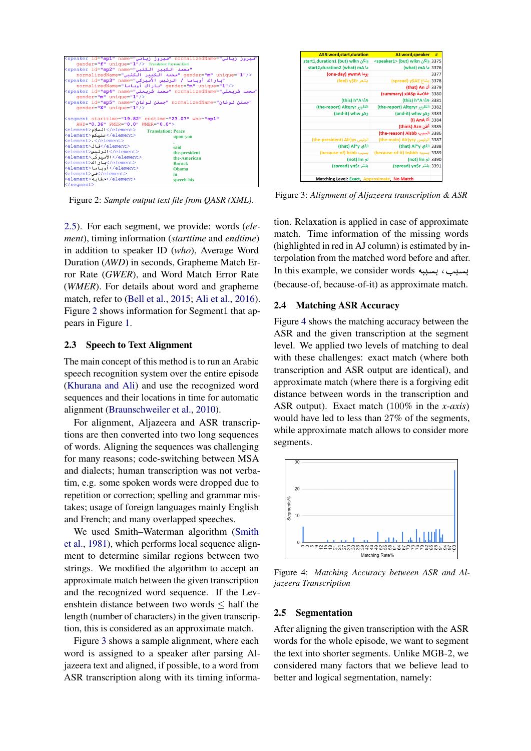<span id="page-3-0"></span>

| "فيروز زياني"=normalizedName "فيروز زياني"=speaker_id="sp1"_name                    |                           |
|-------------------------------------------------------------------------------------|---------------------------|
| gender="f" unique="1"/> Translation: Fayrouz Ziani                                  |                           |
| "محمد الكبير الكتبي"=speaker id="sp2" name>                                         |                           |
|                                                                                     |                           |
| "باراك أوباما / الرئيس الأسبركي"=speaker id= <b>"sp3"</b> name>                     |                           |
| <td></td>                                                                           |                           |
| "محمد شربعتي"=normalizedName "محمد شربعتي"=speaker id=" <b>sp4</b> " name           |                           |
| qender="m" unique="1"/>                                                             |                           |
| "جستن لوغان"=normalizedName "جستن لوغان"=speaker_id= <b>"sp5</b> "_name=            |                           |
| $q$ ender="X" unique="1"/>                                                          |                           |
|                                                                                     |                           |
| <seqment <="" endtime="23.07" starttime="19.82" th="" who="sp1"><th></th></seqment> |                           |
| AWD="0.36" PMER="0.0" WMER="0.0">                                                   |                           |
| السلام< <element< th=""><th><b>Translation: Peace</b></th></element<>               | <b>Translation: Peace</b> |
| علىكم<br>                                                                           | upon-you                  |
| <element> </element>                                                                |                           |
| <element>قال<element></element></element>                                           | said                      |
| الرئىس                                                                              | the-president             |
| <lement>الأميركي<element></element></lement>                                        | the-American              |
| بار اك<br><>                                                                        | <b>Barack</b>             |
| أوباما< <element></element>                                                         | Obama                     |
| فى                                                                                  | in.                       |
| <element>خطائه</element>                                                            | speech-his                |
|                                                                                     |                           |

Figure 2: *Sample output text file from QASR (XML).*

[2.5\)](#page-3-2). For each segment, we provide: words (*element*), timing information (*starttime* and *endtime*) in addition to speaker ID (*who*), Average Word Duration (*AWD*) in seconds, Grapheme Match Error Rate (*GWER*), and Word Match Error Rate (*WMER*). For details about word and grapheme match, refer to [\(Bell et al.,](#page-9-2) [2015;](#page-9-2) [Ali et al.,](#page-9-3) [2016\)](#page-9-3). Figure [2](#page-3-0) shows information for Segment1 that appears in Figure [1.](#page-2-2)

### <span id="page-3-1"></span>2.3 Speech to Text Alignment

The main concept of this method is to run an Arabic speech recognition system over the entire episode [\(Khurana and Ali\)](#page-10-12) and use the recognized word sequences and their locations in time for automatic alignment [\(Braunschweiler et al.,](#page-9-9) [2010\)](#page-9-9).

For alignment, Aljazeera and ASR transcriptions are then converted into two long sequences of words. Aligning the sequences was challenging for many reasons; code-switching between MSA and dialects; human transcription was not verbatim, e.g. some spoken words were dropped due to repetition or correction; spelling and grammar mistakes; usage of foreign languages mainly English and French; and many overlapped speeches.

We used Smith–Waterman algorithm [\(Smith](#page-11-11) [et al.,](#page-11-11) [1981\)](#page-11-11), which performs local sequence alignment to determine similar regions between two strings. We modified the algorithm to accept an approximate match between the given transcription and the recognized word sequence. If the Levenshtein distance between two words ≤ half the length (number of characters) in the given transcription, this is considered as an approximate match.

Figure [3](#page-3-3) shows a sample alignment, where each word is assigned to a speaker after parsing Aljazeera text and aligned, if possible, to a word from ASR transcription along with its timing informa-

<span id="page-3-3"></span>

Figure 3: *Alignment of Aljazeera transcription & ASR*

tion. Relaxation is applied in case of approximate match. Time information of the missing words (highlighted in red in AJ column) is estimated by interpolation from the matched word before and after. terpolation from the materied word before and after<br>بسبب ، بسببه straight words . . . (because-of, because-of-it) as approximate match.

#### 2.4 Matching ASR Accuracy

Figure [4](#page-3-4) shows the matching accuracy between the ASR and the given transcription at the segment level. We applied two levels of matching to deal with these challenges: exact match (where both transcription and ASR output are identical), and approximate match (where there is a forgiving edit distance between words in the transcription and ASR output). Exact match (100% in the *x-axis*) would have led to less than 27% of the segments, while approximate match allows to consider more segments.

<span id="page-3-4"></span>

Figure 4: *Matching Accuracy between ASR and Aljazeera Transcription*

#### <span id="page-3-2"></span>2.5 Segmentation

After aligning the given transcription with the ASR words for the whole episode, we want to segment the text into shorter segments. Unlike MGB-2, we considered many factors that we believe lead to better and logical segmentation, namely: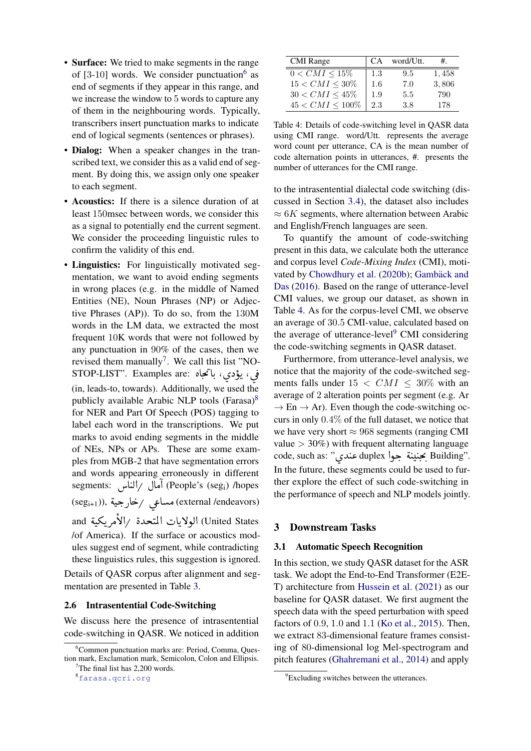- Surface: We tried to make segments in the range of  $[3-10]$  words. We consider punctuation<sup>[6](#page-4-0)</sup> as end of segments if they appear in this range, and we increase the window to 5 words to capture any of them in the neighbouring words. Typically, transcribers insert punctuation marks to indicate end of logical segments (sentences or phrases).
- Dialog: When a speaker changes in the transcribed text, we consider this as a valid end of segment. By doing this, we assign only one speaker to each segment.
- Acoustics: If there is a silence duration of at least 150msec between words, we consider this as a signal to potentially end the current segment. We consider the proceeding linguistic rules to confirm the validity of this end.
- Linguistics: For linguistically motivated segmentation, we want to avoid ending segments in wrong places (e.g. in the middle of Named Entities (NE), Noun Phrases (NP) or Adjective Phrases (AP)). To do so, from the 130M words in the LM data, we extracted the most frequent 10K words that were not followed by any punctuation in 90% of the cases, then we revised them manually<sup>[7](#page-4-1)</sup>. We call this list "NOrevised them manually'. we call this list "NO:<br>فی، یؤدي، با تمجاه :STOP-LIST". Examples are . t. . l<br>S  $\overline{\phantom{a}}$  (in, leads-to, towards). Additionally, we used the  $\ddot{\phantom{0}}$ publicly available Arabic NLP tools (Farasa)<sup>[8](#page-4-2)</sup> for NER and Part Of Speech (POS) tagging to label each word in the transcriptions. We put marks to avoid ending segments in the middle of NEs, NPs or APs. These are some examples from MGB-2 that have segmentation errors and words appearing erroneously in different and words appearing erroneously in different<br>segments: آمال /الناس (People's (seg<sub>i</sub>) /hopes segments. اهال /الناس (reople s (seg<sub>i)</sub> /hopes<br>(seg<sub>i+1</sub>)), مساعی /خارجیة (external /endeavors)  $\cdot$  $\overline{a}$ و (11999 - 1199) الولايات المتحدة /الأمريكية)<br>United States الولايات المتحدة /الأمريكية)  $\ddot{\cdot}$ <u>ر</u> .<br>ء <u>ر</u> /of America). If the surface or acoustics modules suggest end of segment, while contradicting these linguistics rules, this suggestion is ignored.

Details of QASR corpus after alignment and segmentation are presented in Table [3.](#page-2-3)

#### 2.6 Intrasentential Code-Switching

We discuss here the presence of intrasentential code-switching in QASR. We noticed in addition

<span id="page-4-3"></span>

| <b>CMI</b> Range      | CA. | word/Utt. | $#_{\cdot}$ |
|-----------------------|-----|-----------|-------------|
| $0 < CMI \le 15\%$    | 1.3 | 9.5       | 1,458       |
| $15 < CMI \leq 30\%$  | 1.6 | 7.0       | 3,806       |
| $30 < CMI \leq 45\%$  | 1.9 | 5.5       | 790         |
| $45 < CMI \leq 100\%$ | 2.3 | 3.8       | 178         |

Table 4: Details of code-switching level in QASR data using CMI range. word/Utt. represents the average word count per utterance, CA is the mean number of code alternation points in utterances, #. presents the number of utterances for the CMI range.

to the intrasentential dialectal code switching (discussed in Section [3.4\)](#page-7-0), the dataset also includes  $\approx 6K$  segments, where alternation between Arabic and English/French languages are seen.

To quantify the amount of code-switching present in this data, we calculate both the utterance and corpus level *Code-Mixing Index* (CMI), moti-vated by [Chowdhury et al.](#page-10-2) [\(2020b\)](#page-10-2); Gambäck and [Das](#page-10-13) [\(2016\)](#page-10-13). Based on the range of utterance-level CMI values, we group our dataset, as shown in Table [4.](#page-4-3) As for the corpus-level CMI, we observe an average of 30.5 CMI-value, calculated based on the average of utterance-level $9$  CMI considering the code-switching segments in QASR dataset.

Furthermore, from utterance-level analysis, we notice that the majority of the code-switched segments falls under  $15 < CMI \leq 30\%$  with an average of 2 alteration points per segment (e.g. Ar  $\rightarrow$  En  $\rightarrow$  Ar). Even though the code-switching occurs in only 0.4% of the full dataset, we notice that we have very short  $\approx 968$  segments (ranging CMI value  $>$  30%) with frequent alternating language value > 30%) with frequent alternating language<br>code, such as: "عندي " duplex بحنينة جوا In the future, these segments could be used to fur- $\overline{a}$  $\mathbf{a}$ ٔ<br>ّ ֦֦֧֦֧֦֧֦֧֦֧֦֧֦֧֦֧ׅ֚֚֚֡֝֝֝֝֜<br>֧֪֪֪֚ . ther explore the effect of such code-switching in the performance of speech and NLP models jointly.

## 3 Downstream Tasks

### 3.1 Automatic Speech Recognition

In this section, we study QASR dataset for the ASR task. We adopt the End-to-End Transformer (E2E-T) architecture from [Hussein et al.](#page-10-0) [\(2021\)](#page-10-0) as our baseline for QASR dataset. We first augment the speech data with the speed perturbation with speed factors of 0.9, 1.0 and 1.1 [\(Ko et al.,](#page-10-14) [2015\)](#page-10-14). Then, we extract 83-dimensional feature frames consisting of 80-dimensional log Mel-spectrogram and pitch features [\(Ghahremani et al.,](#page-10-15) [2014\)](#page-10-15) and apply

<span id="page-4-0"></span><sup>6</sup>Common punctuation marks are: Period, Comma, Question mark, Exclamation mark, Semicolon, Colon and Ellipsis.  $7$ The final list has 2,200 words.

<span id="page-4-2"></span><span id="page-4-1"></span><sup>8</sup><farasa.qcri.org>

<span id="page-4-4"></span><sup>&</sup>lt;sup>9</sup>Excluding switches between the utterances.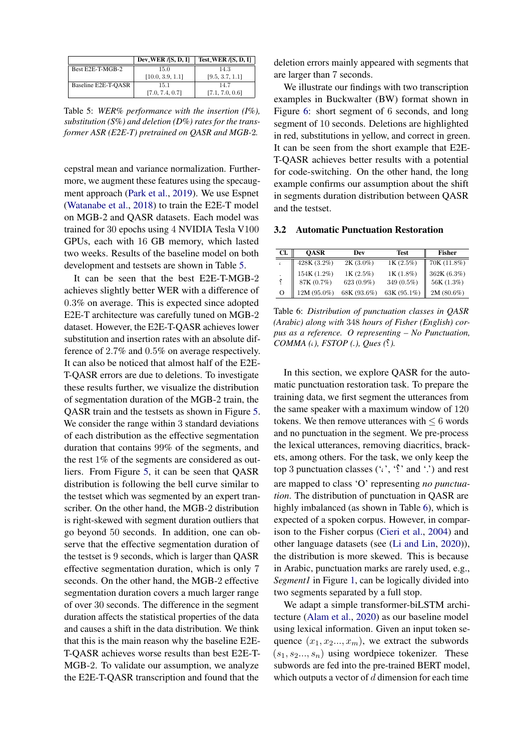<span id="page-5-0"></span>

|                     | Dev_WER $/$ [S, D, I] | Test_WER /[S, D, I] |
|---------------------|-----------------------|---------------------|
| Best E2E-T-MGB-2    | 15.0                  | 14.3                |
|                     | [10.0, 3.9, 1.1]      | [9.5, 3.7, 1.1]     |
| Baseline E2E-T-OASR | 15.1                  | 14.7                |
|                     | [7.0, 7.4, 0.7]       | [7.1, 7.0, 0.6]     |

Table 5: *WER% performance with the insertion (I%), substitution (S%) and deletion (D%) rates for the transformer ASR (E2E-T) pretrained on QASR and MGB-*2*.*

cepstral mean and variance normalization. Furthermore, we augment these features using the specaugment approach [\(Park et al.,](#page-10-16) [2019\)](#page-10-16). We use Espnet [\(Watanabe et al.,](#page-11-0) [2018\)](#page-11-0) to train the E2E-T model on MGB-2 and QASR datasets. Each model was trained for 30 epochs using 4 NVIDIA Tesla V100 GPUs, each with 16 GB memory, which lasted two weeks. Results of the baseline model on both development and testsets are shown in Table [5.](#page-5-0)

It can be seen that the best E2E-T-MGB-2 achieves slightly better WER with a difference of 0.3% on average. This is expected since adopted E2E-T architecture was carefully tuned on MGB-2 dataset. However, the E2E-T-QASR achieves lower substitution and insertion rates with an absolute difference of 2.7% and 0.5% on average respectively. It can also be noticed that almost half of the E2E-T-QASR errors are due to deletions. To investigate these results further, we visualize the distribution of segmentation duration of the MGB-2 train, the QASR train and the testsets as shown in Figure [5.](#page-6-0) We consider the range within 3 standard deviations of each distribution as the effective segmentation duration that contains 99% of the segments, and the rest 1% of the segments are considered as outliers. From Figure [5,](#page-6-0) it can be seen that QASR distribution is following the bell curve similar to the testset which was segmented by an expert transcriber. On the other hand, the MGB-2 distribution is right-skewed with segment duration outliers that go beyond 50 seconds. In addition, one can observe that the effective segmentation duration of the testset is 9 seconds, which is larger than QASR effective segmentation duration, which is only 7 seconds. On the other hand, the MGB-2 effective segmentation duration covers a much larger range of over 30 seconds. The difference in the segment duration affects the statistical properties of the data and causes a shift in the data distribution. We think that this is the main reason why the baseline E2E-T-QASR achieves worse results than best E2E-T-MGB-2. To validate our assumption, we analyze the E2E-T-QASR transcription and found that the

deletion errors mainly appeared with segments that are larger than 7 seconds.

We illustrate our findings with two transcription examples in Buckwalter (BW) format shown in Figure [6:](#page-6-1) short segment of 6 seconds, and long segment of 10 seconds. Deletions are highlighted in red, substitutions in yellow, and correct in green. It can be seen from the short example that E2E-T-QASR achieves better results with a potential for code-switching. On the other hand, the long example confirms our assumption about the shift in segments duration distribution between QASR and the testset.

### 3.2 Automatic Punctuation Restoration

<span id="page-5-1"></span>

| Cl. | <b>OASR</b> | Dev          | <b>Test</b> | Fisher      |
|-----|-------------|--------------|-------------|-------------|
|     | 428K (3.2%) | $2K(3.0\%)$  | 1K(2.5%)    | 70K(11.8%)  |
|     | 154K(1.2%)  | 1K(2.5%)     | 1K(1.8%)    | 362K (6.3%) |
|     | 87K (0.7%)  | $623(0.9\%)$ | 349 (0.5%)  | 56K (1.3%)  |
| O   | 12M (95.0%) | 68K (93.6%)  | 63K (95.1%) | 2M (80.6%)  |

Table 6: *Distribution of punctuation classes in QASR (Arabic) along with* 348 *hours of Fisher (English) corpus as a reference. O representing – No Punctuation, COMMA (*,*), FSTOP (.), Ques (*?*).*

In this section, we explore QASR for the automatic punctuation restoration task. To prepare the training data, we first segment the utterances from the same speaker with a maximum window of 120 tokens. We then remove utterances with  $\leq 6$  words and no punctuation in the segment. We pre-process the lexical utterances, removing diacritics, brackets, among others. For the task, we only keep the top 3 punctuation classes  $(2, 2)$  and  $2)$  and rest are mapped to class 'O' representing *no punctuation*. The distribution of punctuation in QASR are highly imbalanced (as shown in Table [6\)](#page-5-1), which is expected of a spoken corpus. However, in comparison to the Fisher corpus [\(Cieri et al.,](#page-10-17) [2004\)](#page-10-17) and other language datasets (see [\(Li and Lin,](#page-10-18) [2020\)](#page-10-18)), the distribution is more skewed. This is because in Arabic, punctuation marks are rarely used, e.g., *Segment1* in Figure [1,](#page-2-2) can be logically divided into two segments separated by a full stop.

We adapt a simple transformer-biLSTM architecture [\(Alam et al.,](#page-9-10) [2020\)](#page-9-10) as our baseline model using lexical information. Given an input token sequence  $(x_1, x_2..., x_m)$ , we extract the subwords  $(s_1, s_2..., s_n)$  using wordpiece tokenizer. These subwords are fed into the pre-trained BERT model, which outputs a vector of  $d$  dimension for each time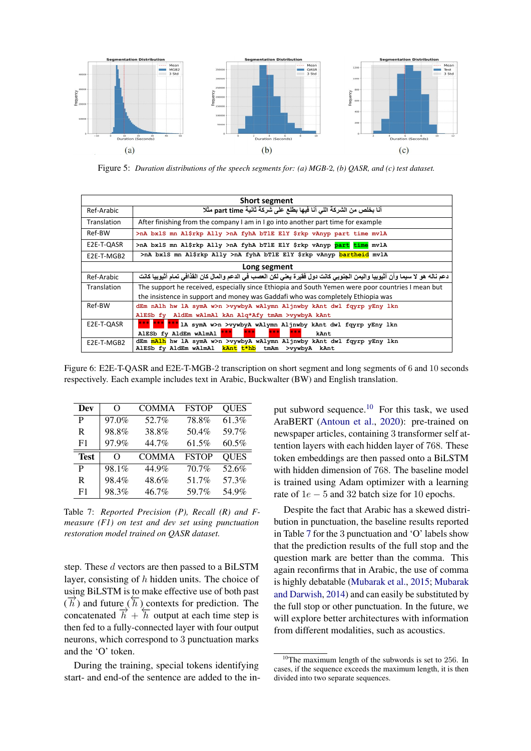<span id="page-6-0"></span>

Figure 5: *Duration distributions of the speech segments for: (a) MGB-*2*, (b) QASR, and (c) test dataset.*

<span id="page-6-1"></span>

| <b>Short segment</b> |                                                                                                                                                                                      |  |
|----------------------|--------------------------------------------------------------------------------------------------------------------------------------------------------------------------------------|--|
| Ref-Arabic           | أنا بخلص من الشركة اللي أنا فيها بطلع على شركة ثانية part time مثلا                                                                                                                  |  |
| Translation          | After finishing from the company I am in I go into another part time for example                                                                                                     |  |
| Ref-BW               | >nA bxlS mn Al\$rkp Ally >nA fyhA bTlE ElY \$rkp vAnyp part time mvlA                                                                                                                |  |
| E2E-T-QASR           | >nA bxlS mn Al\$rkp Ally >nA fyhA bTlE ElY \$rkp vAnyp part time mvlA                                                                                                                |  |
| E2E-T-MGB2           | >nA bxlS mn Al\$rkp Ally >nA fyhA bTlE ElY \$rkp vAnyp bartheid mvlA                                                                                                                 |  |
| Long segment         |                                                                                                                                                                                      |  |
| Ref-Arabic           | دعم ناله هو لا سبما وأن أثيوبيا والبمن الجنوبي كانت دول فقبرة يعني لكن العصب في الدعم والمال كان القذافي تمام أثبوبيا كانت                                                           |  |
| Translation          | The support he received, especially since Ethiopia and South Yemen were poor countries I mean but<br>the insistence in support and money was Gaddafi who was completely Ethiopia was |  |
| Ref-BW               | dEm nAlh hw lA symA w>n >vywbyA wAlymn Aljnwby kAnt dwl fqyrp yEny lkn                                                                                                               |  |
|                      | AlESb fy AldEm wAlmAl kAn Alq*Afy tmAm >vywbyA kAnt                                                                                                                                  |  |
| E2E-T-QASR           | *** *** 1A symA w>n >vywbyA wAlymn Aljnwby kAnt dwl fqyrp yEny 1kn                                                                                                                   |  |
|                      | ***<br>AlESb fy AldEm wAlmAl ***<br>***<br>kAnt                                                                                                                                      |  |
| E2E-T-MGB2           | dEm mAlh hw lA symA w>n >vywbyA wAlymn Aljnwby kAnt dwl fqyrp yEny lkn<br>AlESb fy AldEm wAlmAl kant t*hb tmAm >vywbyA kAnt                                                          |  |

Figure 6: E2E-T-QASR and E2E-T-MGB-2 transcription on short segment and long segments of 6 and 10 seconds respectively. Each example includes text in Arabic, Buckwalter (BW) and English translation.

<span id="page-6-3"></span>

| Dev         | O     | <b>COMMA</b> | <b>FSTOP</b> | <b>QUES</b> |
|-------------|-------|--------------|--------------|-------------|
| P           | 97.0% | 52.7%        | 78.8%        | 61.3%       |
| R           | 98.8% | 38.8%        | 50.4%        | 59.7%       |
| F1          | 97.9% | 44.7%        | 61.5%        | 60.5%       |
|             |       |              |              |             |
| <b>Test</b> | O     | <b>COMMA</b> | <b>FSTOP</b> | <b>QUES</b> |
| P           | 98.1% | 44.9%        | 70.7%        | 52.6%       |
| R           | 98.4% | 48.6%        | 51.7%        | 57.3%       |

Table 7: *Reported Precision (P), Recall (R) and Fmeasure (F1) on test and dev set using punctuation restoration model trained on QASR dataset.*

step. These d vectors are then passed to a BiLSTM layer, consisting of h hidden units. The choice of using BiLSTM is to make effective use of both past  $(\vec{h})$  and future  $(\vec{h})$  contexts for prediction. The concatenated  $\overrightarrow{h} + \overleftarrow{h}$  output at each time step is then fed to a fully-connected layer with four output neurons, which correspond to 3 punctuation marks and the 'O' token.

During the training, special tokens identifying start- and end-of the sentence are added to the in-

put subword sequence.<sup>[10](#page-6-2)</sup> For this task, we used AraBERT [\(Antoun et al.,](#page-9-11) [2020\)](#page-9-11): pre-trained on newspaper articles, containing 3 transformer self attention layers with each hidden layer of 768. These token embeddings are then passed onto a BiLSTM with hidden dimension of 768. The baseline model is trained using Adam optimizer with a learning rate of  $1e - 5$  and 32 batch size for 10 epochs.

Despite the fact that Arabic has a skewed distribution in punctuation, the baseline results reported in Table [7](#page-6-3) for the 3 punctuation and 'O' labels show that the prediction results of the full stop and the question mark are better than the comma. This again reconfirms that in Arabic, the use of comma is highly debatable [\(Mubarak et al.,](#page-10-19) [2015;](#page-10-19) [Mubarak](#page-10-20) [and Darwish,](#page-10-20) [2014\)](#page-10-20) and can easily be substituted by the full stop or other punctuation. In the future, we will explore better architectures with information from different modalities, such as acoustics.

<span id="page-6-2"></span> $10$ The maximum length of the subwords is set to 256. In cases, if the sequence exceeds the maximum length, it is then divided into two separate sequences.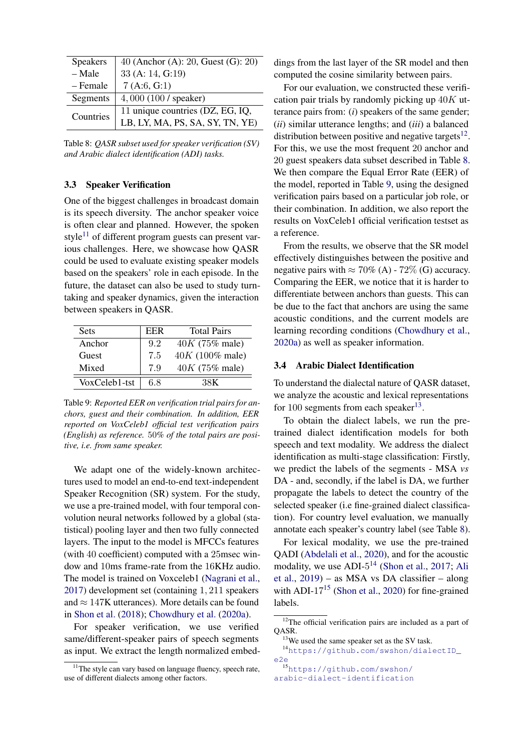<span id="page-7-3"></span>

| <b>Speakers</b> | 40 (Anchor (A): 20, Guest (G): 20) |
|-----------------|------------------------------------|
| - Male          | 33 (A: 14, G:19)                   |
| - Female        | 7(A:6, G:1)                        |
| Segments        | 4,000(100/space)                   |
| Countries       | 11 unique countries (DZ, EG, IQ,   |
|                 | LB, LY, MA, PS, SA, SY, TN, YE)    |

Table 8: *QASR subset used for speaker verification (SV) and Arabic dialect identification (ADI) tasks.*

### 3.3 Speaker Verification

One of the biggest challenges in broadcast domain is its speech diversity. The anchor speaker voice is often clear and planned. However, the spoken style $11$  of different program guests can present various challenges. Here, we showcase how QASR could be used to evaluate existing speaker models based on the speakers' role in each episode. In the future, the dataset can also be used to study turntaking and speaker dynamics, given the interaction between speakers in QASR.

<span id="page-7-4"></span>

| <b>Sets</b>   | EER | <b>Total Pairs</b>         |
|---------------|-----|----------------------------|
| Anchor        | 9.2 | $40K (75\% \text{ male})$  |
| Guest         | 7.5 | $40K (100\% \text{ male})$ |
| Mixed         | 7.9 | $40K (75\% \text{ male})$  |
| VoxCeleb1-tst | 68  | 38K                        |

Table 9: *Reported EER on verification trial pairs for anchors, guest and their combination. In addition, EER reported on VoxCeleb1 official test verification pairs (English) as reference.* 50*% of the total pairs are positive, i.e. from same speaker.*

We adapt one of the widely-known architectures used to model an end-to-end text-independent Speaker Recognition (SR) system. For the study, we use a pre-trained model, with four temporal convolution neural networks followed by a global (statistical) pooling layer and then two fully connected layers. The input to the model is MFCCs features (with 40 coefficient) computed with a 25msec window and 10ms frame-rate from the 16KHz audio. The model is trained on Voxceleb1 [\(Nagrani et al.,](#page-10-21) [2017\)](#page-10-21) development set (containing 1, 211 speakers and  $\approx 147$ K utterances). More details can be found in [Shon et al.](#page-11-12) [\(2018\)](#page-11-12); [Chowdhury et al.](#page-10-22) [\(2020a\)](#page-10-22).

For speaker verification, we use verified same/different-speaker pairs of speech segments as input. We extract the length normalized embed-

dings from the last layer of the SR model and then computed the cosine similarity between pairs.

For our evaluation, we constructed these verification pair trials by randomly picking up  $40K$  utterance pairs from: (*i*) speakers of the same gender; (*ii*) similar utterance lengths; and (*iii*) a balanced distribution between positive and negative targets $^{12}$  $^{12}$  $^{12}$ . For this, we use the most frequent 20 anchor and 20 guest speakers data subset described in Table [8.](#page-7-3) We then compare the Equal Error Rate (EER) of the model, reported in Table [9,](#page-7-4) using the designed verification pairs based on a particular job role, or their combination. In addition, we also report the results on VoxCeleb1 official verification testset as a reference.

From the results, we observe that the SR model effectively distinguishes between the positive and negative pairs with  $\approx 70\%$  (A) -  $72\%$  (G) accuracy. Comparing the EER, we notice that it is harder to differentiate between anchors than guests. This can be due to the fact that anchors are using the same acoustic conditions, and the current models are learning recording conditions [\(Chowdhury et al.,](#page-10-22) [2020a\)](#page-10-22) as well as speaker information.

### <span id="page-7-0"></span>3.4 Arabic Dialect Identification

To understand the dialectal nature of QASR dataset, we analyze the acoustic and lexical representations for 100 segments from each speaker $^{13}$  $^{13}$  $^{13}$ .

To obtain the dialect labels, we run the pretrained dialect identification models for both speech and text modality. We address the dialect identification as multi-stage classification: Firstly, we predict the labels of the segments - MSA *vs* DA - and, secondly, if the label is DA, we further propagate the labels to detect the country of the selected speaker (i.e fine-grained dialect classification). For country level evaluation, we manually annotate each speaker's country label (see Table [8\)](#page-7-3).

For lexical modality, we use the pre-trained QADI [\(Abdelali et al.,](#page-9-12) [2020\)](#page-9-12), and for the acoustic modality, we use ADI- $5^{14}$  $5^{14}$  $5^{14}$  [\(Shon et al.,](#page-11-13) [2017;](#page-11-13) [Ali](#page-9-8) [et al.,](#page-9-8) [2019\)](#page-9-8) – as MSA vs DA classifier – along with ADI- $17^{15}$  $17^{15}$  $17^{15}$  [\(Shon et al.,](#page-11-5) [2020\)](#page-11-5) for fine-grained labels.

<sup>14</sup>[https://github.com/swshon/dialectID\\_](https://github.com/swshon/dialectID_e2e) [e2e](https://github.com/swshon/dialectID_e2e) <sup>15</sup>[https://github.com/swshon/](https://github.com/swshon/arabic-dialect-identification)

<span id="page-7-7"></span>[arabic-dialect-identification](https://github.com/swshon/arabic-dialect-identification)

<span id="page-7-1"></span> $11$ The style can vary based on language fluency, speech rate, use of different dialects among other factors.

<span id="page-7-2"></span><sup>&</sup>lt;sup>12</sup>The official verification pairs are included as a part of QASR.

<span id="page-7-6"></span><span id="page-7-5"></span> $13$ We used the same speaker set as the SV task.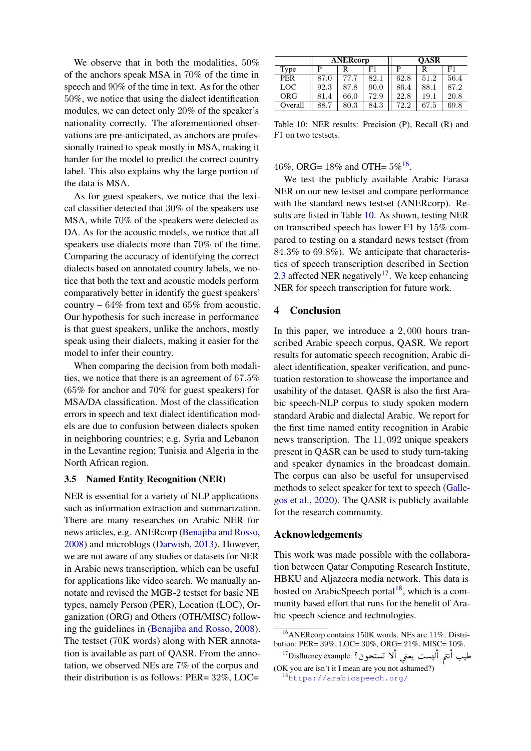We observe that in both the modalities,  $50\%$ of the anchors speak MSA in 70% of the time in speech and 90% of the time in text. As for the other 50%, we notice that using the dialect identification modules, we can detect only 20% of the speaker's nationality correctly. The aforementioned observations are pre-anticipated, as anchors are professionally trained to speak mostly in MSA, making it harder for the model to predict the correct country label. This also explains why the large portion of the data is MSA.

As for guest speakers, we notice that the lexical classifier detected that 30% of the speakers use MSA, while 70% of the speakers were detected as DA. As for the acoustic models, we notice that all speakers use dialects more than 70% of the time. Comparing the accuracy of identifying the correct dialects based on annotated country labels, we notice that both the text and acoustic models perform comparatively better in identify the guest speakers' country  $-64\%$  from text and 65% from acoustic. Our hypothesis for such increase in performance is that guest speakers, unlike the anchors, mostly speak using their dialects, making it easier for the model to infer their country.

When comparing the decision from both modalities, we notice that there is an agreement of 67.5% (65% for anchor and 70% for guest speakers) for MSA/DA classification. Most of the classification errors in speech and text dialect identification models are due to confusion between dialects spoken in neighboring countries; e.g. Syria and Lebanon in the Levantine region; Tunisia and Algeria in the North African region.

### 3.5 Named Entity Recognition (NER)

NER is essential for a variety of NLP applications such as information extraction and summarization. There are many researches on Arabic NER for news articles, e.g. ANERcorp [\(Benajiba and Rosso,](#page-9-13) [2008\)](#page-9-13) and microblogs [\(Darwish,](#page-10-23) [2013\)](#page-10-23). However, we are not aware of any studies or datasets for NER in Arabic news transcription, which can be useful for applications like video search. We manually annotate and revised the MGB-2 testset for basic NE types, namely Person (PER), Location (LOC), Organization (ORG) and Others (OTH/MISC) following the guidelines in [\(Benajiba and Rosso,](#page-9-13) [2008\)](#page-9-13). The testset (70K words) along with NER annotation is available as part of QASR. From the annotation, we observed NEs are 7% of the corpus and their distribution is as follows: PER= 32%, LOC=

<span id="page-8-1"></span>

|            | <b>ANERcorp</b> |      |      | <b>OASR</b> |      |      |
|------------|-----------------|------|------|-------------|------|------|
| Type       | D               | R    | F1   | P           | R    | F1   |
| <b>PER</b> | 87.0            | 77.7 | 82.1 | 62.8        | 51.2 | 56.4 |
| LOC        | 92.3            | 87.8 | 90.0 | 86.4        | 88.1 | 87.2 |
| <b>ORG</b> | 81.4            | 66.0 | 72.9 | 22.8        | 19.1 | 20.8 |
| Overall    | 88.7            | 80.3 | 84.3 | 72.2        | 67.5 | 69.8 |

Table 10: NER results: Precision (P), Recall (R) and F1 on two testsets.

## 46%, ORG=  $18\%$  and OTH=  $5\%$ <sup>[16](#page-8-0)</sup>.

We test the publicly available Arabic Farasa NER on our new testset and compare performance with the standard news testset (ANERcorp). Results are listed in Table [10.](#page-8-1) As shown, testing NER on transcribed speech has lower F1 by 15% compared to testing on a standard news testset (from 84.3% to 69.8%). We anticipate that characteristics of speech transcription described in Section [2.3](#page-3-1) affected NER negatively<sup>[17](#page-8-2)</sup>. We keep enhancing NER for speech transcription for future work.

## 4 Conclusion

In this paper, we introduce a 2, 000 hours transcribed Arabic speech corpus, QASR. We report results for automatic speech recognition, Arabic dialect identification, speaker verification, and punctuation restoration to showcase the importance and usability of the dataset. QASR is also the first Arabic speech-NLP corpus to study spoken modern standard Arabic and dialectal Arabic. We report for the first time named entity recognition in Arabic news transcription. The 11, 092 unique speakers present in QASR can be used to study turn-taking and speaker dynamics in the broadcast domain. The corpus can also be useful for unsupervised methods to select speaker for text to speech [\(Galle](#page-10-24)[gos et al.,](#page-10-24) [2020\)](#page-10-24). The QASR is publicly available for the research community.

#### Acknowledgements

This work was made possible with the collaboration between Qatar Computing Research Institute, HBKU and Aljazeera media network. This data is hosted on ArabicSpeech portal<sup>[18](#page-8-3)</sup>, which is a community based effort that runs for the benefit of Arabic speech science and technologies.

<span id="page-8-0"></span><sup>16</sup>ANERcorp contains 150K words. NEs are 11%. Distribution: PER= 39%, LOC= 30%, ORG= 21%, MISC= 10%.  $\overline{a}$ .<br>.  $\overline{\phantom{a}}$ ֧֦֪֖֚֚֚֝֝֝֝֝֝<br>֧֪ׅׅ֚֚֚֚֚֚֚֚֚֚֚֚֚֚֚֚֚֚֚֚֚֚֚֚֚֚֚֝֘֘֝֘֝֬֓֡֘֩֓֡֘ ֺ֚֞ ו;<br>י  $\overline{a}$ ļ

<span id="page-8-3"></span><span id="page-8-2"></span><sup>.</sup>ion: PEK= 59%, LOC= 50%, OKO= 21%, MISC= 10%.<br>طيب أنتم أليست يعني ألا تستحون؟ <sup>17</sup>Disfluency example: ? Į (OK you are isn't it I mean are you not ashamed?) Į ڔ Ë .<br>تا J ֦֧֦ <sup>18</sup><https://arabicspeech.org/>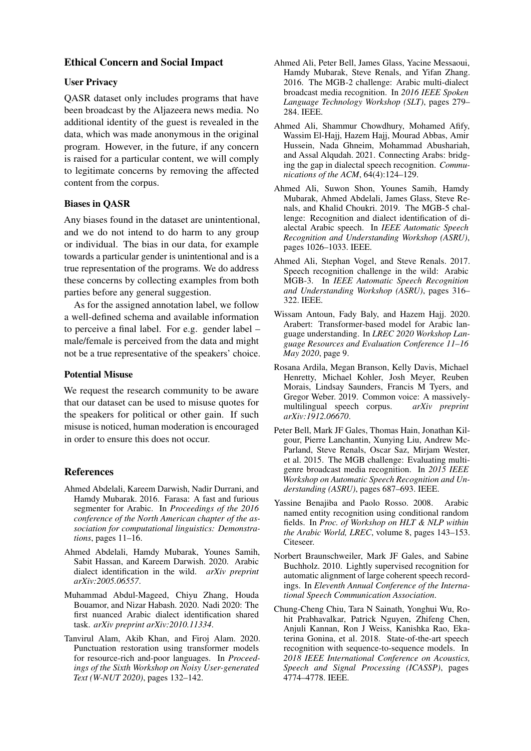## Ethical Concern and Social Impact

## User Privacy

QASR dataset only includes programs that have been broadcast by the Aljazeera news media. No additional identity of the guest is revealed in the data, which was made anonymous in the original program. However, in the future, if any concern is raised for a particular content, we will comply to legitimate concerns by removing the affected content from the corpus.

## Biases in QASR

Any biases found in the dataset are unintentional, and we do not intend to do harm to any group or individual. The bias in our data, for example towards a particular gender is unintentional and is a true representation of the programs. We do address these concerns by collecting examples from both parties before any general suggestion.

As for the assigned annotation label, we follow a well-defined schema and available information to perceive a final label. For e.g. gender label – male/female is perceived from the data and might not be a true representative of the speakers' choice.

### Potential Misuse

We request the research community to be aware that our dataset can be used to misuse quotes for the speakers for political or other gain. If such misuse is noticed, human moderation is encouraged in order to ensure this does not occur.

### References

- <span id="page-9-4"></span>Ahmed Abdelali, Kareem Darwish, Nadir Durrani, and Hamdy Mubarak. 2016. Farasa: A fast and furious segmenter for Arabic. In *Proceedings of the 2016 conference of the North American chapter of the association for computational linguistics: Demonstrations*, pages 11–16.
- <span id="page-9-12"></span>Ahmed Abdelali, Hamdy Mubarak, Younes Samih, Sabit Hassan, and Kareem Darwish. 2020. Arabic dialect identification in the wild. *arXiv preprint arXiv:2005.06557*.
- <span id="page-9-5"></span>Muhammad Abdul-Mageed, Chiyu Zhang, Houda Bouamor, and Nizar Habash. 2020. Nadi 2020: The first nuanced Arabic dialect identification shared task. *arXiv preprint arXiv:2010.11334*.
- <span id="page-9-10"></span>Tanvirul Alam, Akib Khan, and Firoj Alam. 2020. Punctuation restoration using transformer models for resource-rich and-poor languages. In *Proceedings of the Sixth Workshop on Noisy User-generated Text (W-NUT 2020)*, pages 132–142.
- <span id="page-9-3"></span>Ahmed Ali, Peter Bell, James Glass, Yacine Messaoui, Hamdy Mubarak, Steve Renals, and Yifan Zhang. 2016. The MGB-2 challenge: Arabic multi-dialect broadcast media recognition. In *2016 IEEE Spoken Language Technology Workshop (SLT)*, pages 279– 284. IEEE.
- <span id="page-9-6"></span>Ahmed Ali, Shammur Chowdhury, Mohamed Afify, Wassim El-Hajj, Hazem Hajj, Mourad Abbas, Amir Hussein, Nada Ghneim, Mohammad Abushariah, and Assal Alqudah. 2021. Connecting Arabs: bridging the gap in dialectal speech recognition. *Communications of the ACM*, 64(4):124–129.
- <span id="page-9-8"></span>Ahmed Ali, Suwon Shon, Younes Samih, Hamdy Mubarak, Ahmed Abdelali, James Glass, Steve Renals, and Khalid Choukri. 2019. The MGB-5 challenge: Recognition and dialect identification of dialectal Arabic speech. In *IEEE Automatic Speech Recognition and Understanding Workshop (ASRU)*, pages 1026–1033. IEEE.
- <span id="page-9-7"></span>Ahmed Ali, Stephan Vogel, and Steve Renals. 2017. Speech recognition challenge in the wild: Arabic MGB-3. In *IEEE Automatic Speech Recognition and Understanding Workshop (ASRU)*, pages 316– 322. IEEE.
- <span id="page-9-11"></span>Wissam Antoun, Fady Baly, and Hazem Hajj. 2020. Arabert: Transformer-based model for Arabic language understanding. In *LREC 2020 Workshop Language Resources and Evaluation Conference 11–16 May 2020*, page 9.
- <span id="page-9-1"></span>Rosana Ardila, Megan Branson, Kelly Davis, Michael Henretty, Michael Kohler, Josh Meyer, Reuben Morais, Lindsay Saunders, Francis M Tyers, and Gregor Weber. 2019. Common voice: A massively-<br>multilingual speech corpus.  $arXiv$  preprint multilingual speech corpus. *arXiv:1912.06670*.
- <span id="page-9-2"></span>Peter Bell, Mark JF Gales, Thomas Hain, Jonathan Kilgour, Pierre Lanchantin, Xunying Liu, Andrew Mc-Parland, Steve Renals, Oscar Saz, Mirjam Wester, et al. 2015. The MGB challenge: Evaluating multigenre broadcast media recognition. In *2015 IEEE Workshop on Automatic Speech Recognition and Understanding (ASRU)*, pages 687–693. IEEE.
- <span id="page-9-13"></span>Yassine Benajiba and Paolo Rosso. 2008. Arabic named entity recognition using conditional random fields. In *Proc. of Workshop on HLT & NLP within the Arabic World, LREC*, volume 8, pages 143–153. Citeseer.
- <span id="page-9-9"></span>Norbert Braunschweiler, Mark JF Gales, and Sabine Buchholz. 2010. Lightly supervised recognition for automatic alignment of large coherent speech recordings. In *Eleventh Annual Conference of the International Speech Communication Association*.
- <span id="page-9-0"></span>Chung-Cheng Chiu, Tara N Sainath, Yonghui Wu, Rohit Prabhavalkar, Patrick Nguyen, Zhifeng Chen, Anjuli Kannan, Ron J Weiss, Kanishka Rao, Ekaterina Gonina, et al. 2018. State-of-the-art speech recognition with sequence-to-sequence models. In *2018 IEEE International Conference on Acoustics, Speech and Signal Processing (ICASSP)*, pages 4774–4778. IEEE.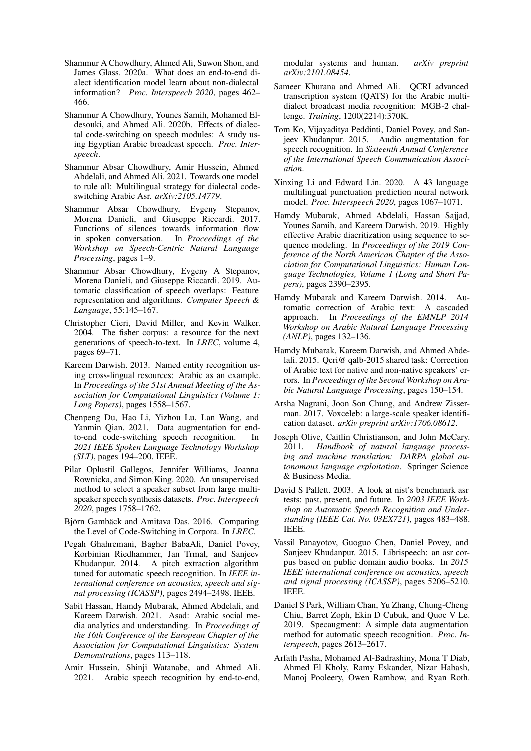- <span id="page-10-22"></span>Shammur A Chowdhury, Ahmed Ali, Suwon Shon, and James Glass. 2020a. What does an end-to-end dialect identification model learn about non-dialectal information? *Proc. Interspeech 2020*, pages 462– 466.
- <span id="page-10-2"></span>Shammur A Chowdhury, Younes Samih, Mohamed Eldesouki, and Ahmed Ali. 2020b. Effects of dialectal code-switching on speech modules: A study using Egyptian Arabic broadcast speech. *Proc. Interspeech*.
- <span id="page-10-3"></span>Shammur Absar Chowdhury, Amir Hussein, Ahmed Abdelali, and Ahmed Ali. 2021. Towards one model to rule all: Multilingual strategy for dialectal codeswitching Arabic Asr. *arXiv:2105.14779*.
- <span id="page-10-7"></span>Shammur Absar Chowdhury, Evgeny Stepanov, Morena Danieli, and Giuseppe Riccardi. 2017. Functions of silences towards information flow in spoken conversation. In *Proceedings of the Workshop on Speech-Centric Natural Language Processing*, pages 1–9.
- <span id="page-10-6"></span>Shammur Absar Chowdhury, Evgeny A Stepanov, Morena Danieli, and Giuseppe Riccardi. 2019. Automatic classification of speech overlaps: Feature representation and algorithms. *Computer Speech & Language*, 55:145–167.
- <span id="page-10-17"></span>Christopher Cieri, David Miller, and Kevin Walker. 2004. The fisher corpus: a resource for the next generations of speech-to-text. In *LREC*, volume 4, pages 69–71.
- <span id="page-10-23"></span>Kareem Darwish. 2013. Named entity recognition using cross-lingual resources: Arabic as an example. In *Proceedings of the 51st Annual Meeting of the Association for Computational Linguistics (Volume 1: Long Papers)*, pages 1558–1567.
- <span id="page-10-8"></span>Chenpeng Du, Hao Li, Yizhou Lu, Lan Wang, and Yanmin Qian. 2021. Data augmentation for endto-end code-switching speech recognition. In *2021 IEEE Spoken Language Technology Workshop (SLT)*, pages 194–200. IEEE.
- <span id="page-10-24"></span>Pilar Oplustil Gallegos, Jennifer Williams, Joanna Rownicka, and Simon King. 2020. An unsupervised method to select a speaker subset from large multispeaker speech synthesis datasets. *Proc. Interspeech 2020*, pages 1758–1762.
- <span id="page-10-13"></span>Björn Gambäck and Amitava Das. 2016. Comparing the Level of Code-Switching in Corpora. In *LREC*.
- <span id="page-10-15"></span>Pegah Ghahremani, Bagher BabaAli, Daniel Povey, Korbinian Riedhammer, Jan Trmal, and Sanjeev Khudanpur. 2014. A pitch extraction algorithm tuned for automatic speech recognition. In *IEEE international conference on acoustics, speech and signal processing (ICASSP)*, pages 2494–2498. IEEE.
- <span id="page-10-11"></span>Sabit Hassan, Hamdy Mubarak, Ahmed Abdelali, and Kareem Darwish. 2021. Asad: Arabic social media analytics and understanding. In *Proceedings of the 16th Conference of the European Chapter of the Association for Computational Linguistics: System Demonstrations*, pages 113–118.
- <span id="page-10-0"></span>Amir Hussein, Shinji Watanabe, and Ahmed Ali. 2021. Arabic speech recognition by end-to-end,

modular systems and human. *arXiv preprint arXiv:2101.08454*.

- <span id="page-10-12"></span>Sameer Khurana and Ahmed Ali. QCRI advanced transcription system (QATS) for the Arabic multidialect broadcast media recognition: MGB-2 challenge. *Training*, 1200(2214):370K.
- <span id="page-10-14"></span>Tom Ko, Vijayaditya Peddinti, Daniel Povey, and Sanjeev Khudanpur. 2015. Audio augmentation for speech recognition. In *Sixteenth Annual Conference of the International Speech Communication Association*.
- <span id="page-10-18"></span>Xinxing Li and Edward Lin. 2020. A 43 language multilingual punctuation prediction neural network model. *Proc. Interspeech 2020*, pages 1067–1071.
- <span id="page-10-5"></span>Hamdy Mubarak, Ahmed Abdelali, Hassan Sajjad, Younes Samih, and Kareem Darwish. 2019. Highly effective Arabic diacritization using sequence to sequence modeling. In *Proceedings of the 2019 Conference of the North American Chapter of the Association for Computational Linguistics: Human Language Technologies, Volume 1 (Long and Short Papers)*, pages 2390–2395.
- <span id="page-10-20"></span>Hamdy Mubarak and Kareem Darwish. 2014. Automatic correction of Arabic text: A cascaded approach. In *Proceedings of the EMNLP 2014 Workshop on Arabic Natural Language Processing (ANLP)*, pages 132–136.
- <span id="page-10-19"></span>Hamdy Mubarak, Kareem Darwish, and Ahmed Abdelali. 2015. Qcri@ qalb-2015 shared task: Correction of Arabic text for native and non-native speakers' errors. In *Proceedings of the Second Workshop on Arabic Natural Language Processing*, pages 150–154.
- <span id="page-10-21"></span>Arsha Nagrani, Joon Son Chung, and Andrew Zisserman. 2017. Voxceleb: a large-scale speaker identification dataset. *arXiv preprint arXiv:1706.08612*.
- <span id="page-10-10"></span>Joseph Olive, Caitlin Christianson, and John McCary. 2011. *Handbook of natural language processing and machine translation: DARPA global autonomous language exploitation*. Springer Science & Business Media.
- <span id="page-10-9"></span>David S Pallett. 2003. A look at nist's benchmark asr tests: past, present, and future. In *2003 IEEE Workshop on Automatic Speech Recognition and Understanding (IEEE Cat. No. 03EX721)*, pages 483–488. IEEE.
- <span id="page-10-1"></span>Vassil Panayotov, Guoguo Chen, Daniel Povey, and Sanjeev Khudanpur. 2015. Librispeech: an asr corpus based on public domain audio books. In *2015 IEEE international conference on acoustics, speech and signal processing (ICASSP)*, pages 5206–5210. IEEE.
- <span id="page-10-16"></span>Daniel S Park, William Chan, Yu Zhang, Chung-Cheng Chiu, Barret Zoph, Ekin D Cubuk, and Quoc V Le. 2019. Specaugment: A simple data augmentation method for automatic speech recognition. *Proc. Interspeech*, pages 2613–2617.
- <span id="page-10-4"></span>Arfath Pasha, Mohamed Al-Badrashiny, Mona T Diab, Ahmed El Kholy, Ramy Eskander, Nizar Habash, Manoj Pooleery, Owen Rambow, and Ryan Roth.